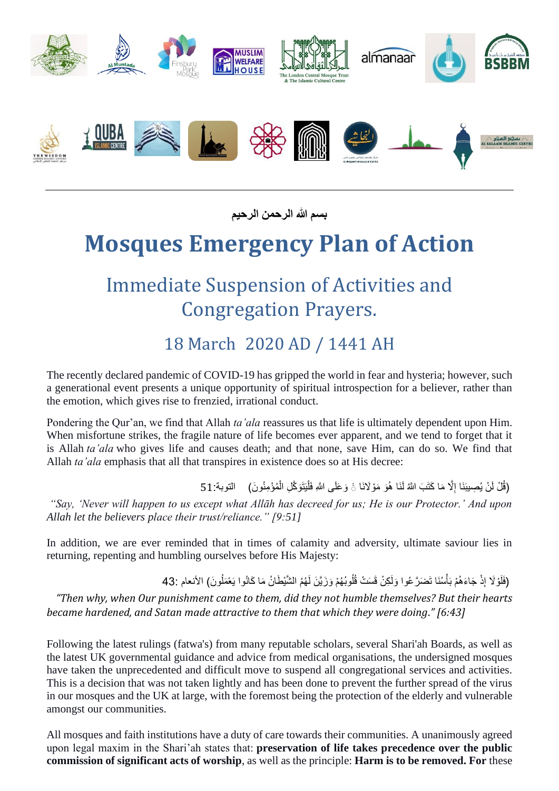

**بسم هللا الرحمن الرحيم** 

## **Mosques Emergency Plan of Action**

## Immediate Suspension of Activities and Congregation Prayers.

## 18 March 2020 AD / 1441 AH

The recently declared pandemic of COVID-19 has gripped the world in fear and hysteria; however, such a generational event presents a unique opportunity of spiritual introspection for a believer, rather than the emotion, which gives rise to frenzied, irrational conduct.

Pondering the Qur'an, we find that Allah *ta'ala* reassures us that life is ultimately dependent upon Him. When misfortune strikes, the fragile nature of life becomes ever apparent, and we tend to forget that it is Allah *ta'ala* who gives life and causes death; and that none, save Him, can do so. We find that Allah *ta'ala* emphasis that all that transpires in existence does so at His decree:

> (قُلْ لَنْ يُصِبِيَنَا إِلَّا مَا كَتَبَ اللَّهُ لَنَا هُوَ مَوْلَانَا ۚ وَعَلَى اللَّهِ فَلْيَتَوَكَّلِ الْمُؤْمِنُونَ) التوبة:51 ِ Ę ْ ْ

*"Say, 'Never will happen to us except what Allāh has decreed for us; He is our Protector.' And upon Allah let the believers place their trust/reliance." [9:51]*

In addition, we are ever reminded that in times of calamity and adversity, ultimate saviour lies in returning, repenting and humbling ourselves before His Majesty:

> (فَلَوْلَا إِذْ جَاءَهُمْ بَأْسُنَا تَضَرَّ عُوا وَلَكِنْ قَسَتْ قُلُوبُهُمْ وَزَيَّنَ لَهُمُ الشَّيْطَانُ مَا كَانُوا يَعْمَلُونَ) الأنعام :43 ْ ُ

*"Then why, when Our punishment came to them, did they not humble themselves? But their hearts became hardened, and Satan made attractive to them that which they were doing*.*" [6:43]*

Following the latest rulings (fatwa's) from many reputable scholars, several Shari'ah Boards, as well as the latest UK governmental guidance and advice from medical organisations, the undersigned mosques have taken the unprecedented and difficult move to suspend all congregational services and activities. This is a decision that was not taken lightly and has been done to prevent the further spread of the virus in our mosques and the UK at large, with the foremost being the protection of the elderly and vulnerable amongst our communities.

All mosques and faith institutions have a duty of care towards their communities. A unanimously agreed upon legal maxim in the Shari'ah states that: **preservation of life takes precedence over the public commission of significant acts of worship**, as well as the principle: **Harm is to be removed. For** these